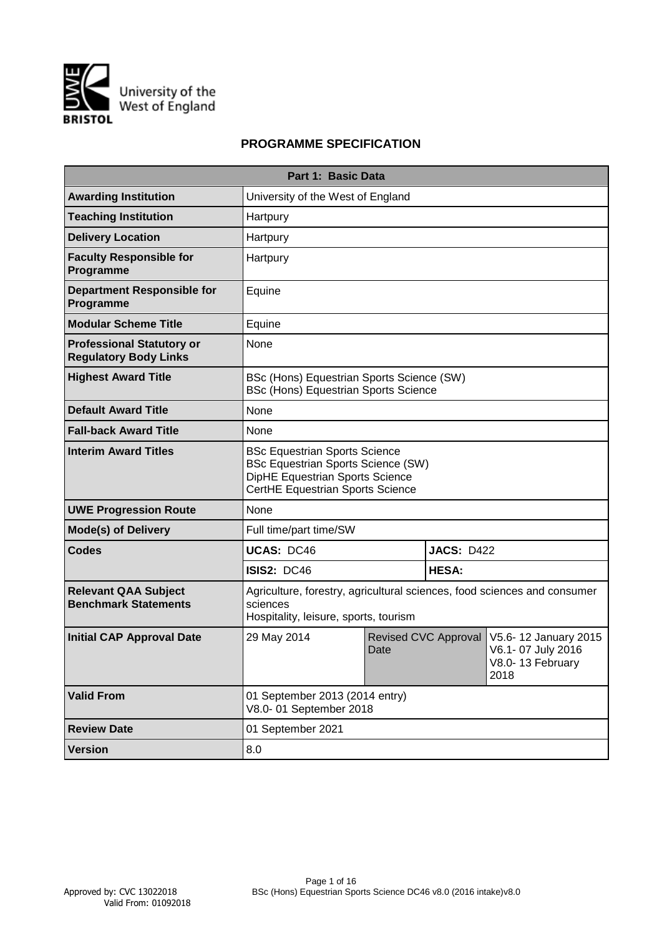

# **PROGRAMME SPECIFICATION**

|                                                                  | Part 1: Basic Data                                                                                                                                       |      |                      |                                                                       |  |  |  |  |  |  |  |
|------------------------------------------------------------------|----------------------------------------------------------------------------------------------------------------------------------------------------------|------|----------------------|-----------------------------------------------------------------------|--|--|--|--|--|--|--|
| <b>Awarding Institution</b>                                      | University of the West of England                                                                                                                        |      |                      |                                                                       |  |  |  |  |  |  |  |
| <b>Teaching Institution</b>                                      | Hartpury                                                                                                                                                 |      |                      |                                                                       |  |  |  |  |  |  |  |
| <b>Delivery Location</b>                                         | Hartpury                                                                                                                                                 |      |                      |                                                                       |  |  |  |  |  |  |  |
| <b>Faculty Responsible for</b><br>Programme                      | Hartpury                                                                                                                                                 |      |                      |                                                                       |  |  |  |  |  |  |  |
| <b>Department Responsible for</b><br>Programme                   | Equine                                                                                                                                                   |      |                      |                                                                       |  |  |  |  |  |  |  |
| <b>Modular Scheme Title</b>                                      | Equine                                                                                                                                                   |      |                      |                                                                       |  |  |  |  |  |  |  |
| <b>Professional Statutory or</b><br><b>Regulatory Body Links</b> | None                                                                                                                                                     |      |                      |                                                                       |  |  |  |  |  |  |  |
| <b>Highest Award Title</b>                                       | BSc (Hons) Equestrian Sports Science (SW)<br><b>BSc (Hons) Equestrian Sports Science</b>                                                                 |      |                      |                                                                       |  |  |  |  |  |  |  |
| <b>Default Award Title</b>                                       | None                                                                                                                                                     |      |                      |                                                                       |  |  |  |  |  |  |  |
| <b>Fall-back Award Title</b>                                     | None                                                                                                                                                     |      |                      |                                                                       |  |  |  |  |  |  |  |
| <b>Interim Award Titles</b>                                      | <b>BSc Equestrian Sports Science</b><br><b>BSc Equestrian Sports Science (SW)</b><br>DipHE Equestrian Sports Science<br>CertHE Equestrian Sports Science |      |                      |                                                                       |  |  |  |  |  |  |  |
| <b>UWE Progression Route</b>                                     | None                                                                                                                                                     |      |                      |                                                                       |  |  |  |  |  |  |  |
| <b>Mode(s) of Delivery</b>                                       | Full time/part time/SW                                                                                                                                   |      |                      |                                                                       |  |  |  |  |  |  |  |
| <b>Codes</b>                                                     | <b>UCAS: DC46</b>                                                                                                                                        |      | <b>JACS: D422</b>    |                                                                       |  |  |  |  |  |  |  |
|                                                                  | <b>ISIS2: DC46</b>                                                                                                                                       |      | <b>HESA:</b>         |                                                                       |  |  |  |  |  |  |  |
| <b>Relevant QAA Subject</b><br><b>Benchmark Statements</b>       | Agriculture, forestry, agricultural sciences, food sciences and consumer<br>sciences<br>Hospitality, leisure, sports, tourism                            |      |                      |                                                                       |  |  |  |  |  |  |  |
| <b>Initial CAP Approval Date</b>                                 | 29 May 2014                                                                                                                                              | Date | Revised CVC Approval | V5.6-12 January 2015<br>V6.1-07 July 2016<br>V8.0-13 February<br>2018 |  |  |  |  |  |  |  |
| <b>Valid From</b>                                                | 01 September 2013 (2014 entry)<br>V8.0-01 September 2018                                                                                                 |      |                      |                                                                       |  |  |  |  |  |  |  |
| <b>Review Date</b>                                               | 01 September 2021                                                                                                                                        |      |                      |                                                                       |  |  |  |  |  |  |  |
| <b>Version</b>                                                   | 8.0                                                                                                                                                      |      |                      |                                                                       |  |  |  |  |  |  |  |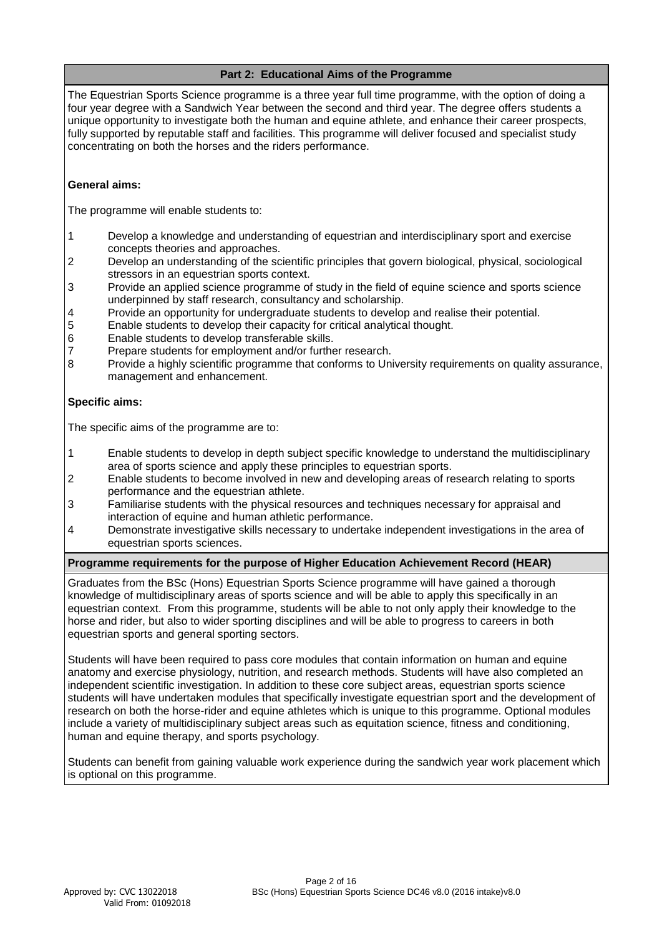# **Part 2: Educational Aims of the Programme**

The Equestrian Sports Science programme is a three year full time programme, with the option of doing a four year degree with a Sandwich Year between the second and third year. The degree offers students a unique opportunity to investigate both the human and equine athlete, and enhance their career prospects, fully supported by reputable staff and facilities. This programme will deliver focused and specialist study concentrating on both the horses and the riders performance.

# **General aims:**

The programme will enable students to:

- 1 Develop a knowledge and understanding of equestrian and interdisciplinary sport and exercise concepts theories and approaches.
- 2 Develop an understanding of the scientific principles that govern biological, physical, sociological stressors in an equestrian sports context.
- 3 Provide an applied science programme of study in the field of equine science and sports science underpinned by staff research, consultancy and scholarship.
- 4 Provide an opportunity for undergraduate students to develop and realise their potential.
- 5 Enable students to develop their capacity for critical analytical thought.
- 6 Enable students to develop transferable skills.
- 7 Prepare students for employment and/or further research.<br>8 Provide a highly scientific programme that conforms to Uni
- Provide a highly scientific programme that conforms to University requirements on quality assurance, management and enhancement.

# **Specific aims:**

The specific aims of the programme are to:

- 1 Enable students to develop in depth subject specific knowledge to understand the multidisciplinary area of sports science and apply these principles to equestrian sports.
- 2 Enable students to become involved in new and developing areas of research relating to sports performance and the equestrian athlete.
- 3 Familiarise students with the physical resources and techniques necessary for appraisal and interaction of equine and human athletic performance.
- 4 Demonstrate investigative skills necessary to undertake independent investigations in the area of equestrian sports sciences.

# **Programme requirements for the purpose of Higher Education Achievement Record (HEAR)**

Graduates from the BSc (Hons) Equestrian Sports Science programme will have gained a thorough knowledge of multidisciplinary areas of sports science and will be able to apply this specifically in an equestrian context. From this programme, students will be able to not only apply their knowledge to the horse and rider, but also to wider sporting disciplines and will be able to progress to careers in both equestrian sports and general sporting sectors.

Students will have been required to pass core modules that contain information on human and equine anatomy and exercise physiology, nutrition, and research methods. Students will have also completed an independent scientific investigation. In addition to these core subject areas, equestrian sports science students will have undertaken modules that specifically investigate equestrian sport and the development of research on both the horse-rider and equine athletes which is unique to this programme. Optional modules include a variety of multidisciplinary subject areas such as equitation science, fitness and conditioning, human and equine therapy, and sports psychology.

Students can benefit from gaining valuable work experience during the sandwich year work placement which is optional on this programme.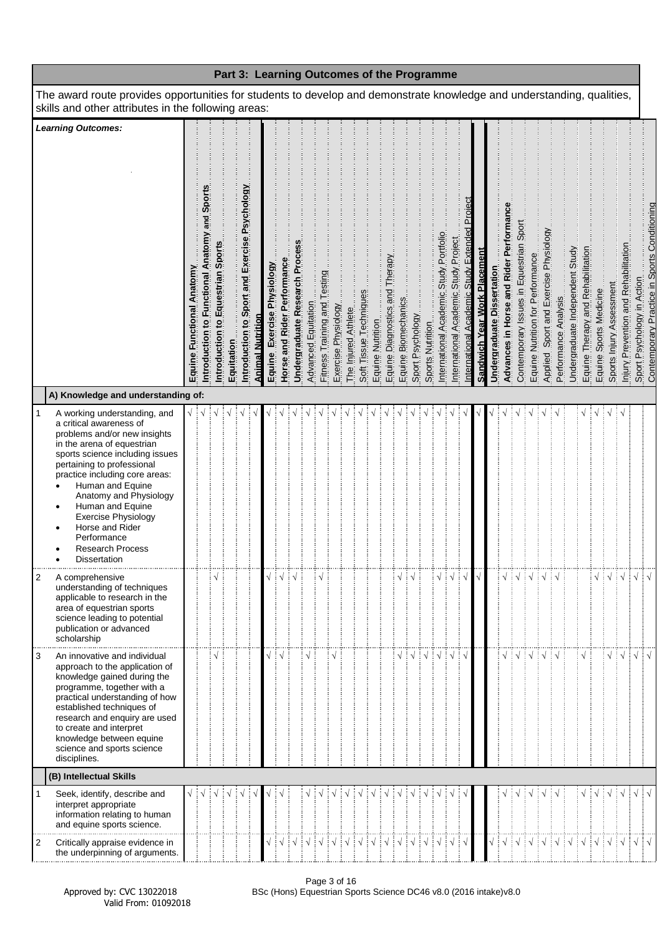| Part 3: Learning Outcomes of the Programme                                                                                                                                                                                                                                                                                                                                                                 |                              |                                                  |                                      |            |                                               |                         |                               |                             |                                        |                     |                              |                                                         |                     |                        |                                                         |                                                                                                            |                  |                                        |                                      |                                               |                                     |                            |                                       |                                         |                                  |                                       |                      |                                 |                                                                                         |                                    |                                      |                                                   |                                                                             |
|------------------------------------------------------------------------------------------------------------------------------------------------------------------------------------------------------------------------------------------------------------------------------------------------------------------------------------------------------------------------------------------------------------|------------------------------|--------------------------------------------------|--------------------------------------|------------|-----------------------------------------------|-------------------------|-------------------------------|-----------------------------|----------------------------------------|---------------------|------------------------------|---------------------------------------------------------|---------------------|------------------------|---------------------------------------------------------|------------------------------------------------------------------------------------------------------------|------------------|----------------------------------------|--------------------------------------|-----------------------------------------------|-------------------------------------|----------------------------|---------------------------------------|-----------------------------------------|----------------------------------|---------------------------------------|----------------------|---------------------------------|-----------------------------------------------------------------------------------------|------------------------------------|--------------------------------------|---------------------------------------------------|-----------------------------------------------------------------------------|
| The award route provides opportunities for students to develop and demonstrate knowledge and understanding, qualities,<br>skills and other attributes in the following areas:                                                                                                                                                                                                                              |                              |                                                  |                                      |            |                                               |                         |                               |                             |                                        |                     |                              |                                                         |                     |                        |                                                         |                                                                                                            |                  |                                        |                                      |                                               |                                     |                            |                                       |                                         |                                  |                                       |                      |                                 |                                                                                         |                                    |                                      |                                                   |                                                                             |
| <b>Learning Outcomes:</b><br>A) Knowledge and understanding of:                                                                                                                                                                                                                                                                                                                                            | Functional Anatomy<br>Equine | and Sports<br>Introduction to Functional Anatomy | Equestrian Sports<br>Introduction to | Equitation | Introduction to Sport and Exercise Psychology | <b>Animal Nutrition</b> | Exercise Physiology<br>Equine | Horse and Rider Performance | Undergraduate Research Process         | Advanced Equitation | Fitness Training and Testing | Exercise Physiology                                     | The Injured Athlete | Soft Tissue Techniques | Equine Nutrition                                        | _Equine_Diagnostics_and_Therapx<br>__Equine_Biomechanics____________________________<br>_Sport P.sychology | Sports Nutrition | International Academic Study Portfolio | International Academic Study Project | International Academic Study Extended Proiect | <b>Sandwich Year Work Placement</b> | Undergraduate Dissertation | Advances in Horse and Rider Performan | Contemporary Issues in Equestrian Sport | Equine Nutrition for Performance | Applied Sport and Exercise Physiology | Performance Analysis | Undergraduate Independent Study | Equine Therapy and Rehabilitation<br>Equine Sports Medicine<br>Sports Inlury Assessment |                                    | Injury Prevention and Rehabilitation |                                                   | Sport Psychology in Action.<br>Contemporary Practice in Sports Conditioning |
| A working understanding, and<br>1<br>a critical awareness of<br>problems and/or new insights<br>in the arena of equestrian<br>sports science including issues<br>pertaining to professional<br>practice including core areas:<br>Human and Equine<br>Anatomy and Physiology<br>Human and Equine<br><b>Exercise Physiology</b><br>Horse and Rider<br>Performance<br><b>Research Process</b><br>Dissertation |                              |                                                  |                                      |            |                                               |                         |                               |                             |                                        |                     |                              |                                                         |                     |                        |                                                         |                                                                                                            |                  |                                        |                                      |                                               |                                     |                            |                                       |                                         |                                  |                                       |                      |                                 |                                                                                         |                                    | ∶√                                   |                                                   |                                                                             |
| 2<br>A comprehensive<br>understanding of techniques<br>applicable to research in the<br>area of equestrian sports<br>science leading to potential<br>publication or advanced<br>scholarship                                                                                                                                                                                                                |                              |                                                  | $\sqrt{}$                            |            |                                               |                         |                               |                             | $\sqrt{\frac{1}{2}}\sqrt{\frac{1}{2}}$ |                     |                              |                                                         |                     |                        |                                                         |                                                                                                            |                  | $\sqrt{\frac{1}{2}}\sqrt{\frac{1}{2}}$ |                                      | $\sqrt{ }$                                    |                                     |                            | $\sqrt{}$                             | ┊√┊√┊√┊√                                |                                  |                                       |                      |                                 |                                                                                         | $\frac{1}{2}$ $\sqrt{\frac{1}{2}}$ |                                      | $\vert\,\mathrm{\sqrt}\,\vert$ $\,\mathrm{\sqrt}$ |                                                                             |
| An innovative and individual<br>3<br>approach to the application of<br>knowledge gained during the<br>programme, together with a<br>practical understanding of how<br>established techniques of<br>research and enquiry are used<br>to create and interpret<br>knowledge between equine<br>science and sports science<br>disciplines.                                                                      |                              |                                                  |                                      |            |                                               |                         |                               |                             |                                        |                     |                              |                                                         |                     |                        |                                                         |                                                                                                            |                  |                                        |                                      |                                               |                                     |                            |                                       |                                         |                                  |                                       |                      |                                 |                                                                                         |                                    |                                      | $\sqrt{ }$                                        |                                                                             |
| (B) Intellectual Skills                                                                                                                                                                                                                                                                                                                                                                                    |                              |                                                  |                                      |            |                                               |                         |                               |                             |                                        |                     |                              |                                                         |                     |                        |                                                         |                                                                                                            |                  |                                        |                                      |                                               |                                     |                            |                                       |                                         |                                  |                                       |                      |                                 |                                                                                         |                                    |                                      |                                                   |                                                                             |
| 1<br>Seek, identify, describe and<br>interpret appropriate<br>information relating to human<br>and equine sports science.<br>Critically appraise evidence in<br>2                                                                                                                                                                                                                                          |                              |                                                  |                                      |            |                                               |                         |                               |                             |                                        |                     |                              | $\frac{1}{2}$ $\sqrt{\frac{1}{2}}$ $\sqrt{\frac{1}{2}}$ | $\frac{1}{2}$       |                        | $\frac{1}{2}$ $\sqrt{\frac{1}{2}}$ $\sqrt{\frac{1}{2}}$ |                                                                                                            |                  |                                        |                                      |                                               |                                     |                            |                                       |                                         |                                  |                                       |                      |                                 |                                                                                         |                                    | ∶√                                   |                                                   | $\sqrt{ \sqrt{2}}$                                                          |
| the underpinning of arguments.                                                                                                                                                                                                                                                                                                                                                                             |                              |                                                  |                                      |            |                                               |                         |                               |                             |                                        |                     |                              |                                                         |                     |                        |                                                         |                                                                                                            |                  |                                        |                                      |                                               |                                     |                            |                                       |                                         |                                  |                                       |                      |                                 |                                                                                         |                                    |                                      |                                                   |                                                                             |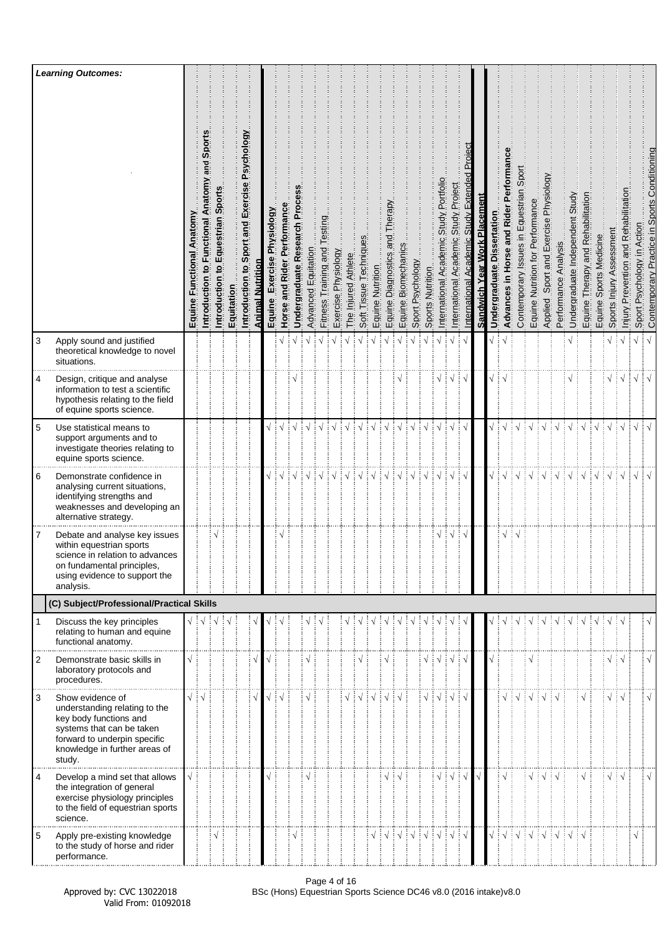|                | <b>Learning Outcomes:</b>                                                                                                                                                           |                                 |                                                           |                                                      |            |                                               |                         |                               |                             |                                |                     |                                 |                     |                     |                        |                  |                                      |                                                         |                  |                                        |                                             |                                            |                                               |                              |                            |                                             |                                            |                                  |                                          |                      |                                    |                                   |                                        |                          |                                                 |                               |                                              |
|----------------|-------------------------------------------------------------------------------------------------------------------------------------------------------------------------------------|---------------------------------|-----------------------------------------------------------|------------------------------------------------------|------------|-----------------------------------------------|-------------------------|-------------------------------|-----------------------------|--------------------------------|---------------------|---------------------------------|---------------------|---------------------|------------------------|------------------|--------------------------------------|---------------------------------------------------------|------------------|----------------------------------------|---------------------------------------------|--------------------------------------------|-----------------------------------------------|------------------------------|----------------------------|---------------------------------------------|--------------------------------------------|----------------------------------|------------------------------------------|----------------------|------------------------------------|-----------------------------------|----------------------------------------|--------------------------|-------------------------------------------------|-------------------------------|----------------------------------------------|
|                |                                                                                                                                                                                     | Anatomy<br>Functional<br>Equine | Ë<br>š<br>and<br>Anatomy<br>Functional<br>Introduction to | Sports<br>Equestrian<br>$\mathbf{S}$<br>Introduction | Equitation | Introduction to Sport and Exercise Psychology | <b>Animal Nutrition</b> | Exercise Physiology<br>Equine | Horse and Rider Performance | Proc<br>Undergraduate Research | Advanced Equitation | Testing<br>Fitness Training and | Exercise Physiology | The Injured Athlete | Soft Tissue Techniques | Equine Nutrition | Therapy<br>pue<br>Equine Diagnostics | Equine Biomechanics                                     | Sport Psychology | Sports Nutrition                       | Portfolio<br>Study<br>nternational Academic | Project<br>Study<br>International Academic | Project<br>Study<br>Academic<br>International | Sandwich Year Work Placement | Undergraduate Dissertation | Performan<br>and Rider<br>Advances in Horse | Sport<br>Contemporary Issues in Equestrian | Equine Nutrition for Performance | Sport and Exercise Physiology<br>Applied | Performance Analysis | Undergraduate Independent Study    | Equine Therapy and Rehabilitation | Sports Medicine<br>Equine <sup>5</sup> | Sports Injury Assessment | Prevention and Rehabilitation<br><u>Miniury</u> | Psychology in Action<br>Sport | Contemporary Practice in Sports Conditioning |
| 3              | Apply sound and justified<br>theoretical knowledge to novel<br>situations.                                                                                                          |                                 |                                                           |                                                      |            |                                               |                         |                               |                             |                                |                     |                                 | $\sqrt{}$           |                     |                        |                  |                                      |                                                         |                  |                                        |                                             | $\sqrt{ }$                                 |                                               |                              | √ ∶                        | $\sqrt{ }$                                  |                                            |                                  |                                          |                      |                                    |                                   |                                        | $\sqrt{}$                | $\sqrt{ }$                                      | $\sqrt{}$                     | $\sqrt{ }$                                   |
| 4              | Design, critique and analyse<br>information to test a scientific<br>hypothesis relating to the field<br>of equine sports science.                                                   |                                 |                                                           |                                                      |            |                                               |                         |                               |                             |                                |                     |                                 |                     |                     |                        |                  |                                      |                                                         |                  |                                        |                                             | $\sqrt{ }$                                 |                                               |                              |                            |                                             |                                            |                                  |                                          |                      |                                    |                                   |                                        | $\sqrt{2}$               |                                                 | $\sqrt{}$                     |                                              |
| 5              | Use statistical means to<br>support arguments and to<br>investigate theories relating to<br>equine sports science.                                                                  |                                 |                                                           |                                                      |            |                                               |                         |                               |                             |                                |                     |                                 |                     |                     |                        |                  |                                      |                                                         |                  |                                        |                                             |                                            |                                               |                              |                            |                                             |                                            |                                  |                                          |                      |                                    |                                   |                                        |                          | $\sqrt{ }$                                      | $\sqrt{ }$                    | $\sqrt{ }$                                   |
| 6              | Demonstrate confidence in<br>analysing current situations,<br>identifying strengths and<br>weaknesses and developing an<br>alternative strategy.                                    |                                 |                                                           |                                                      |            |                                               |                         |                               | $\sqrt{ }$                  | $\frac{1}{2}$                  | $\frac{1}{2}$       |                                 | ┊√                  | $\frac{1}{2}$       | ं√                     | $\sqrt{ }$       | ┊√                                   | $\sqrt{ }$                                              | ÷√               | $\sqrt{ }$                             | ÷√                                          | $\sqrt{}$                                  | ‡√                                            |                              |                            | $\sqrt{\frac{1}{2}}\sqrt{\frac{1}{2}}$      | $\frac{1}{2}$                              | ं √                              | ┊√                                       | ‡√                   | $\frac{1}{2}$                      | ∔ √                               | ∶√                                     | ∔ √                      | $\frac{1}{2}$                                   | $\sqrt{}$                     |                                              |
| 7              | Debate and analyse key issues<br>within equestrian sports<br>science in relation to advances<br>on fundamental principles,<br>using evidence to support the<br>analysis.            |                                 |                                                           |                                                      |            |                                               |                         |                               |                             |                                |                     |                                 |                     |                     |                        |                  |                                      |                                                         |                  |                                        | V                                           | $\sqrt{ }$                                 | ÷ν                                            |                              |                            | N                                           |                                            |                                  |                                          |                      |                                    |                                   |                                        |                          |                                                 |                               |                                              |
|                | (C) Subject/Professional/Practical Skills                                                                                                                                           |                                 |                                                           |                                                      |            |                                               |                         |                               |                             |                                |                     |                                 |                     |                     |                        |                  |                                      |                                                         |                  |                                        |                                             |                                            |                                               |                              |                            |                                             |                                            |                                  |                                          |                      |                                    |                                   |                                        |                          |                                                 |                               |                                              |
|                | Discuss the key principles<br>relating to human and equine<br>functional anatomy.                                                                                                   |                                 |                                                           |                                                      |            |                                               |                         |                               |                             |                                |                     |                                 |                     |                     |                        |                  |                                      |                                                         |                  |                                        |                                             |                                            |                                               |                              |                            |                                             |                                            |                                  |                                          |                      |                                    |                                   |                                        |                          | ∶√                                              |                               |                                              |
| $\overline{2}$ | Demonstrate basic skills in<br>laboratory protocols and<br>procedures.                                                                                                              |                                 |                                                           |                                                      |            |                                               |                         |                               |                             |                                |                     |                                 |                     |                     |                        |                  |                                      |                                                         |                  | $\sqrt{\frac{1}{2}}\sqrt{\frac{1}{2}}$ |                                             | ┆√                                         | Εν                                            |                              |                            |                                             |                                            |                                  |                                          |                      |                                    |                                   |                                        | √∃√                      |                                                 |                               | $\mathbf{v}$                                 |
| 3              | Show evidence of<br>understanding relating to the<br>key body functions and<br>systems that can be taken<br>forward to underpin specific<br>knowledge in further areas of<br>study. | $\sqrt{4}$                      |                                                           |                                                      |            |                                               |                         |                               |                             |                                | $\sqrt{ }$          |                                 |                     |                     |                        |                  |                                      |                                                         |                  | $\sqrt{\frac{1}{2}}\sqrt{\frac{1}{2}}$ |                                             | $\sqrt{ }$                                 |                                               |                              |                            | $\sqrt{ }$                                  | ∔√                                         | ┆√                               | ∔√                                       |                      |                                    |                                   |                                        | $\sqrt{2}$               |                                                 |                               | $\mathbf{v}$                                 |
| 4              | Develop a mind set that allows<br>the integration of general<br>exercise physiology principles<br>to the field of equestrian sports<br>science.                                     |                                 |                                                           |                                                      |            |                                               |                         |                               |                             |                                |                     |                                 |                     |                     |                        |                  |                                      |                                                         |                  |                                        | $\sqrt{}$                                   | ∶√                                         | ∶√                                            |                              |                            | $\sqrt{ }$                                  |                                            | $\sqrt{}$                        | $\frac{1}{2}$                            | ∶√                   |                                    | $\sqrt{}$                         |                                        | $\sqrt{2}$               |                                                 |                               | Ń                                            |
| 5              | Apply pre-existing knowledge<br>to the study of horse and rider<br>performance.                                                                                                     |                                 |                                                           |                                                      |            |                                               |                         |                               |                             | $\sqrt{}$                      |                     |                                 |                     |                     |                        |                  |                                      | $\frac{1}{2}$ $\sqrt{\frac{1}{2}}$ $\sqrt{\frac{1}{2}}$ |                  | ┆√┊√                                   |                                             | ┊√                                         | ∔ √                                           |                              |                            | $\sqrt{2}$                                  |                                            | $\sqrt{2}$ $\sqrt{2}$            |                                          | $\frac{1}{2}$        | $\frac{1}{2}$ $\sqrt{\frac{1}{2}}$ |                                   |                                        |                          |                                                 | $\sqrt{}$                     |                                              |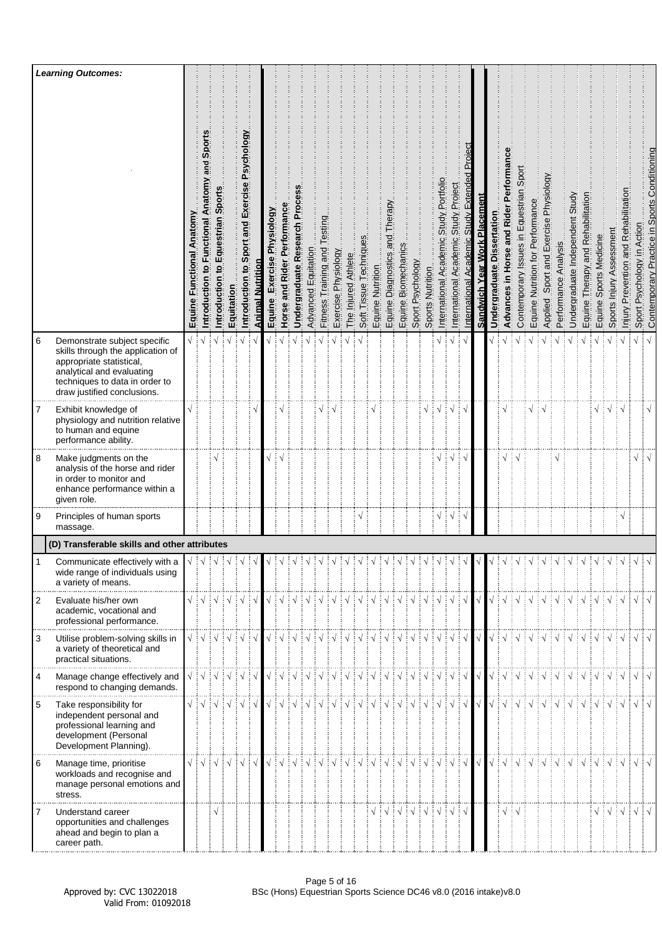|                | <b>Learning Outcomes:</b>                                                                                                                                                                   |                                 |                                                       |                                                                                                                |            |                                                  |                  |                                  |                             |                                 |                     |                                 |                     |                     |                        |                  |                                               |                        |                  |                  |                                                                                                                                                                                                                                                                                                                                                                                                                                                                                                                                                              |                                                 |                                                        |                              |                               |                                                                                                                                                            |                                            |                                  |                                          |                          |                                 |                                   |                            |                                                                   |                                          |                               |                                              |
|----------------|---------------------------------------------------------------------------------------------------------------------------------------------------------------------------------------------|---------------------------------|-------------------------------------------------------|----------------------------------------------------------------------------------------------------------------|------------|--------------------------------------------------|------------------|----------------------------------|-----------------------------|---------------------------------|---------------------|---------------------------------|---------------------|---------------------|------------------------|------------------|-----------------------------------------------|------------------------|------------------|------------------|--------------------------------------------------------------------------------------------------------------------------------------------------------------------------------------------------------------------------------------------------------------------------------------------------------------------------------------------------------------------------------------------------------------------------------------------------------------------------------------------------------------------------------------------------------------|-------------------------------------------------|--------------------------------------------------------|------------------------------|-------------------------------|------------------------------------------------------------------------------------------------------------------------------------------------------------|--------------------------------------------|----------------------------------|------------------------------------------|--------------------------|---------------------------------|-----------------------------------|----------------------------|-------------------------------------------------------------------|------------------------------------------|-------------------------------|----------------------------------------------|
|                |                                                                                                                                                                                             | Anatomy<br>Functional<br>Equine | Sport<br>and<br>Anatomy<br>Functional<br>Introduction | Sport<br>Equestrian<br>$\overline{\mathbf{c}}$<br>Introduction                                                 | Equitation | Sport and Exercise Psychology<br>Introduction to | Animal Nutrition | Physiology<br>Exercise<br>Equine | Horse and Rider Performance | Proce<br>Undergraduate Research | Advanced Equitation | Testing<br>Fitness Training and | Exercise Physiology | The Injured Athlete | Soft Tissue Techniques | Equine Nutrition | Therapy<br>pue<br>en<br>Diagnostics<br>Equine | Biomechanics<br>Equine | Sport Psychology | Sports Nutrition | Portfolio<br>Study<br>Academic<br>International                                                                                                                                                                                                                                                                                                                                                                                                                                                                                                              | Project<br>Study  <br>Academic<br>International | Project<br>Extended<br>Academic Study<br>International | Sandwich Year Work Placement | Dissertation<br>Undergraduate | orman<br>Pert<br>in Horse and Rider<br>Advances                                                                                                            | Sport<br>Contemporary Issues in Equestrian | Equine Nutrition for Performance | Sport and Exercise Physiology<br>Applied | Performance Analysis     | Undergraduate Independent Study | Equine Therapy and Rehabilitation | Sports Medicine<br>Equine: | Sports Injury Assessment                                          | Prevention and Rehabilitation<br>Injury. | Sport Psychology in Action    | Contemporary Practice in Sports Conditioning |
| 6              | Demonstrate subject specific<br>skills through the application of<br>appropriate statistical,<br>analytical and evaluating<br>techniques to data in order to<br>draw justified conclusions. | $\sqrt{2}$                      |                                                       |                                                                                                                |            |                                                  |                  |                                  |                             |                                 |                     |                                 |                     |                     |                        |                  |                                               |                        |                  |                  |                                                                                                                                                                                                                                                                                                                                                                                                                                                                                                                                                              | $\sqrt{ }$                                      |                                                        |                              |                               |                                                                                                                                                            |                                            |                                  |                                          |                          |                                 |                                   |                            |                                                                   |                                          | $\sqrt{}$                     |                                              |
| 7              | Exhibit knowledge of<br>physiology and nutrition relative<br>to human and equine<br>performance ability.                                                                                    |                                 |                                                       |                                                                                                                |            |                                                  |                  |                                  |                             |                                 |                     |                                 |                     |                     |                        |                  |                                               |                        |                  | $\sqrt{}$        |                                                                                                                                                                                                                                                                                                                                                                                                                                                                                                                                                              | N                                               |                                                        |                              |                               |                                                                                                                                                            |                                            |                                  |                                          |                          |                                 |                                   |                            | ┊√┊√                                                              |                                          |                               | $\sqrt{}$                                    |
| 8              | Make judgments on the<br>analysis of the horse and rider<br>in order to monitor and<br>enhance performance within a<br>given role.                                                          |                                 |                                                       |                                                                                                                |            |                                                  |                  |                                  |                             |                                 |                     |                                 |                     |                     |                        |                  |                                               |                        |                  |                  |                                                                                                                                                                                                                                                                                                                                                                                                                                                                                                                                                              |                                                 |                                                        |                              |                               |                                                                                                                                                            |                                            |                                  |                                          |                          |                                 |                                   |                            |                                                                   |                                          | $\sqrt{}$                     |                                              |
| 9              | Principles of human sports<br>massage.                                                                                                                                                      |                                 |                                                       |                                                                                                                |            |                                                  |                  |                                  |                             |                                 |                     |                                 |                     |                     | $\mathbf{A}$           |                  |                                               |                        |                  |                  | $\sqrt{}$                                                                                                                                                                                                                                                                                                                                                                                                                                                                                                                                                    | į٧                                              |                                                        |                              |                               |                                                                                                                                                            |                                            |                                  |                                          |                          |                                 |                                   |                            |                                                                   | $\sqrt{}$                                |                               |                                              |
|                | (D) Transferable skills and other attributes                                                                                                                                                |                                 |                                                       |                                                                                                                |            |                                                  |                  |                                  |                             |                                 |                     |                                 |                     |                     |                        |                  |                                               |                        |                  |                  |                                                                                                                                                                                                                                                                                                                                                                                                                                                                                                                                                              |                                                 |                                                        |                              |                               |                                                                                                                                                            |                                            |                                  |                                          |                          |                                 |                                   |                            |                                                                   |                                          |                               |                                              |
|                | Communicate effectively with a<br>wide range of individuals using<br>a variety of means.                                                                                                    |                                 |                                                       |                                                                                                                |            |                                                  |                  |                                  |                             |                                 |                     |                                 |                     |                     |                        |                  |                                               |                        |                  | $\sqrt{d}$       |                                                                                                                                                                                                                                                                                                                                                                                                                                                                                                                                                              |                                                 |                                                        |                              |                               |                                                                                                                                                            |                                            | $\frac{1}{2}$                    | $\frac{1}{2}$                            | $\frac{1}{2}$ $\sqrt{2}$ |                                 | $\frac{1}{2}$                     |                            | $\frac{1}{2}$                                                     |                                          |                               |                                              |
| $\overline{2}$ | Evaluate his/her own<br>academic, vocational and<br>professional performance.                                                                                                               |                                 |                                                       |                                                                                                                |            |                                                  |                  |                                  |                             |                                 |                     |                                 |                     |                     |                        |                  |                                               |                        |                  |                  | $\begin{array}{c} \sqrt{\frac{1}{2}}\sqrt{\frac{1}{2}}\sqrt{\frac{1}{2}}\sqrt{\frac{1}{2}}\sqrt{\frac{1}{2}}\sqrt{\frac{1}{2}}\sqrt{\frac{1}{2}}\sqrt{\frac{1}{2}}\sqrt{\frac{1}{2}}\sqrt{\frac{1}{2}}\sqrt{\frac{1}{2}}\sqrt{\frac{1}{2}}\sqrt{\frac{1}{2}}\sqrt{\frac{1}{2}}\sqrt{\frac{1}{2}}\sqrt{\frac{1}{2}}\sqrt{\frac{1}{2}}\sqrt{\frac{1}{2}}\sqrt{\frac{1}{2}}\sqrt{\frac{1}{2}}\sqrt{\frac{1}{2}}\sqrt{\frac{1}{2}}\sqrt{\frac{1}{2}}\sqrt{\frac{1$                                                                                               |                                                 |                                                        | $\sqrt{ }$                   | $\sqrt{2}$                    |                                                                                                                                                            |                                            |                                  |                                          |                          |                                 |                                   |                            |                                                                   |                                          |                               |                                              |
| 3              | Utilise problem-solving skills in<br>a variety of theoretical and<br>practical situations.                                                                                                  |                                 |                                                       | $\sqrt{\frac{1}{2}}\sqrt{\frac{1}{2}}\sqrt{\frac{1}{2}}\sqrt{\frac{1}{2}}\sqrt{\frac{1}{2}}\sqrt{\frac{1}{2}}$ |            |                                                  |                  |                                  |                             |                                 |                     |                                 |                     |                     |                        |                  |                                               |                        |                  |                  |                                                                                                                                                                                                                                                                                                                                                                                                                                                                                                                                                              |                                                 |                                                        |                              |                               |                                                                                                                                                            |                                            |                                  |                                          |                          |                                 |                                   |                            | VIVIVIVIVIVIVIVIVIVIV                                             |                                          |                               |                                              |
| $\overline{4}$ | Manage change effectively and<br>respond to changing demands.                                                                                                                               |                                 |                                                       |                                                                                                                |            |                                                  |                  |                                  |                             |                                 |                     |                                 |                     |                     |                        |                  |                                               |                        |                  |                  | $\begin{array}{c} \begin{array}{c} \sqrt{\phantom{a}} \end{array} \end{array} \begin{array}{c} \begin{array}{c} \sqrt{\phantom{a}} \end{array} \end{array} \begin{array}{c} \begin{array}{c} \sqrt{\phantom{a}} \end{array} \end{array} \begin{array}{c} \begin{array}{c} \sqrt{\phantom{a}} \end{array} \end{array} \begin{array}{c} \begin{array}{c} \sqrt{\phantom{a}} \end{array} \end{array} \begin{array}{c} \begin{array}{c} \sqrt{\phantom{a}} \end{array} \end{array} \begin{array}{c} \begin{array}{c} \sqrt{\phantom{a}} \end{array} \$           |                                                 | $\frac{1}{2}$ $\sqrt{2}$                               | $\sqrt{ }$                   |                               |                                                                                                                                                            |                                            |                                  |                                          |                          |                                 |                                   |                            | VIVIVIVIVIVIVIVIV                                                 |                                          |                               | $\sqrt{d}$                                   |
| 5              | Take responsibility for<br>independent personal and<br>professional learning and<br>development (Personal<br>Development Planning).                                                         |                                 |                                                       | √∔√∔√∔√                                                                                                        |            |                                                  |                  |                                  |                             |                                 |                     |                                 |                     |                     |                        |                  |                                               |                        |                  |                  |                                                                                                                                                                                                                                                                                                                                                                                                                                                                                                                                                              |                                                 |                                                        | $\sqrt{ }$                   |                               |                                                                                                                                                            |                                            |                                  |                                          |                          |                                 |                                   |                            | VIVIVIVIVIVIVIVIV                                                 |                                          |                               |                                              |
| 6              | Manage time, prioritise<br>workloads and recognise and<br>manage personal emotions and<br>stress.                                                                                           | $\sqrt{ \sqrt{2}}$              |                                                       | $\sqrt{ }$                                                                                                     |            | $\sqrt{ \sqrt{2}}$                               | $\sqrt{ }$       |                                  |                             |                                 |                     |                                 |                     |                     |                        |                  |                                               |                        |                  |                  | V V V V V V V V V V V V V V V V                                                                                                                                                                                                                                                                                                                                                                                                                                                                                                                              |                                                 | ं√                                                     | $\sqrt{ }$                   |                               | $\begin{array}{c} \sqrt{\phantom{a}} : \sqrt{\phantom{a}} : \sqrt{\phantom{a}} : \sqrt{\phantom{a}} : \sqrt{\phantom{a}} : \sqrt{\phantom{a}} \end{array}$ |                                            |                                  |                                          | ┊√                       | $\frac{1}{2}$                   |                                   |                            | $\exists \sqrt{\vdots} \sqrt{\vdots} \sqrt{\vdots} \sqrt{\vdots}$ |                                          | $\sqrt{ \sqrt{2} }$           |                                              |
| 7              | Understand career<br>opportunities and challenges<br>ahead and begin to plan a<br>career path.                                                                                              |                                 |                                                       | $\sqrt{}$                                                                                                      |            |                                                  |                  |                                  |                             |                                 |                     |                                 |                     |                     |                        |                  |                                               |                        |                  |                  | $\begin{array}{c} \sqrt{\phantom{a}} \\ \sqrt{\phantom{a}} \\ \sqrt{\phantom{a}} \\ \sqrt{\phantom{a}} \\ \sqrt{\phantom{a}} \\ \sqrt{\phantom{a}} \\ \sqrt{\phantom{a}} \\ \sqrt{\phantom{a}} \\ \sqrt{\phantom{a}} \\ \sqrt{\phantom{a}} \\ \sqrt{\phantom{a}} \\ \sqrt{\phantom{a}} \\ \sqrt{\phantom{a}} \\ \sqrt{\phantom{a}} \\ \sqrt{\phantom{a}} \\ \sqrt{\phantom{a}} \\ \sqrt{\phantom{a}} \\ \sqrt{\phantom{a}} \\ \sqrt{\phantom{a}} \\ \sqrt{\phantom{a}} \\ \sqrt{\phantom{a}} \\ \sqrt{\phantom{a}} \\ \sqrt{\phantom{a}} \\ \sqrt{\phantom{$ |                                                 |                                                        |                              |                               | $\sqrt{ }$                                                                                                                                                 | ÷√                                         |                                  |                                          |                          |                                 |                                   |                            | $\sqrt{\frac{1}{2}}\sqrt{\frac{1}{2}}\sqrt{\frac{1}{2}}$          |                                          | $\sqrt{ \sqrt{25} \sqrt{25}}$ |                                              |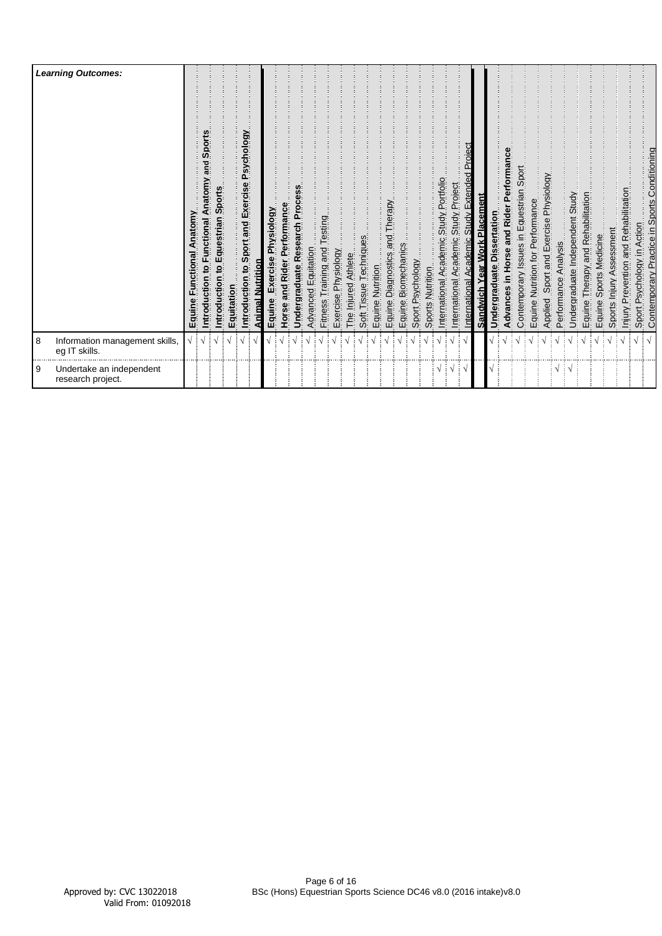|          | <b>Learning Outcomes:</b>                       | Anatomy<br>ctional<br>Equine | Sports<br>piue<br>Anatomy<br>Functional<br>٥,<br>ntroduction | Sports<br>ntroduction to Equestrian | Equitation | Introduction to Sport and Exercise Psychology | Animal Nutrition | Exercise Physiology<br>Equine | Horse and Rider Performance | Undergraduate Research Process | Advanced Equitation | Fitness Training and Testing | Exercise Physiology | The Injured Athlete | Soft Tissue | Equine Nutrition | and Therapy<br>cs<br>Diagnostics<br>Equine. | Biomechanics<br>Equine I | Sport Psychology | Sports Nutrition | Academic Study Portfolio<br>International | Study Project<br>Academic<br>International | Academic Study Extended Proiect<br>International | Sandwich Year Work Placement | Undergraduate Dissertation | Rider Performance<br>and<br>lorse<br>Advances in | Contemporary Issues in Equestrian Sport | Equine Nutrition for Performance | Sport and Exercise Physiology | Analysis<br>Applied Sport<br>Performance / | Undergraduate Independent Study | Therapy and Rehabilitation<br>Equine | Sports Medicine<br>Equine | Sports Injury Assessment | Prevention and Rehabilitation<br>Injury. | Sport Psychology in Action | Contemporary Practice in Sports Conditioning |
|----------|-------------------------------------------------|------------------------------|--------------------------------------------------------------|-------------------------------------|------------|-----------------------------------------------|------------------|-------------------------------|-----------------------------|--------------------------------|---------------------|------------------------------|---------------------|---------------------|-------------|------------------|---------------------------------------------|--------------------------|------------------|------------------|-------------------------------------------|--------------------------------------------|--------------------------------------------------|------------------------------|----------------------------|--------------------------------------------------|-----------------------------------------|----------------------------------|-------------------------------|--------------------------------------------|---------------------------------|--------------------------------------|---------------------------|--------------------------|------------------------------------------|----------------------------|----------------------------------------------|
| 8        | Information management skills,<br>eg IT skills. |                              |                                                              |                                     |            |                                               |                  |                               |                             |                                |                     |                              |                     |                     |             |                  |                                             |                          |                  |                  |                                           |                                            |                                                  |                              |                            |                                                  |                                         |                                  |                               |                                            |                                 |                                      |                           |                          |                                          |                            |                                              |
| <b>9</b> | Undertake an independent<br>research project.   |                              |                                                              |                                     |            |                                               |                  |                               |                             |                                |                     |                              |                     |                     |             |                  |                                             |                          |                  |                  | $\cdot \cdot$                             |                                            |                                                  |                              |                            |                                                  |                                         |                                  |                               | V                                          |                                 |                                      |                           |                          |                                          |                            |                                              |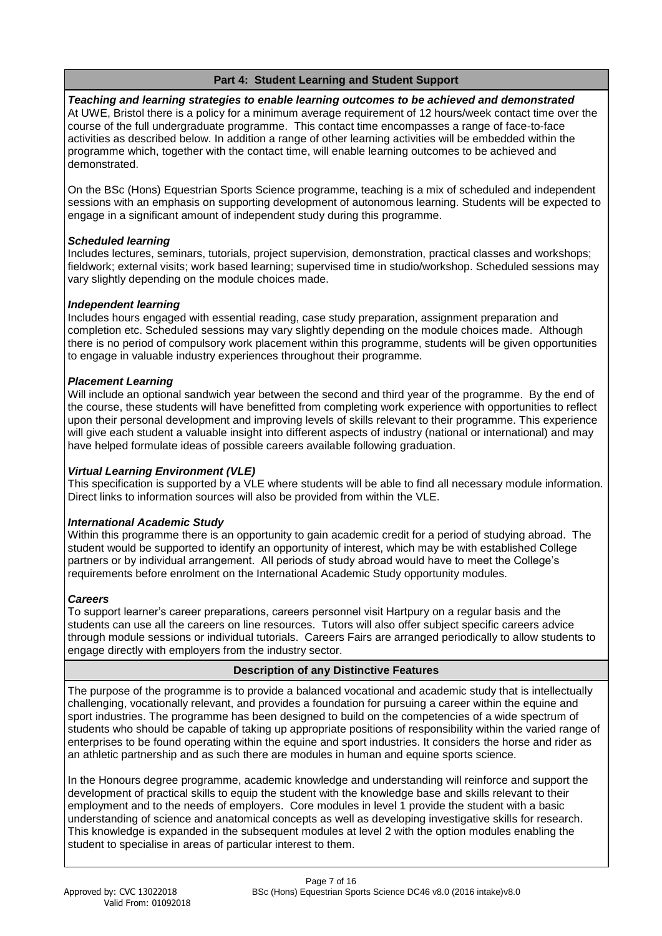# **Part 4: Student Learning and Student Support**

*Teaching and learning strategies to enable learning outcomes to be achieved and demonstrated* At UWE, Bristol there is a policy for a minimum average requirement of 12 hours/week contact time over the course of the full undergraduate programme. This contact time encompasses a range of face-to-face activities as described below. In addition a range of other learning activities will be embedded within the programme which, together with the contact time, will enable learning outcomes to be achieved and demonstrated.

On the BSc (Hons) Equestrian Sports Science programme, teaching is a mix of scheduled and independent sessions with an emphasis on supporting development of autonomous learning. Students will be expected to engage in a significant amount of independent study during this programme.

# *Scheduled learning*

Includes lectures, seminars, tutorials, project supervision, demonstration, practical classes and workshops; fieldwork; external visits; work based learning; supervised time in studio/workshop. Scheduled sessions may vary slightly depending on the module choices made.

# *Independent learning*

Includes hours engaged with essential reading, case study preparation, assignment preparation and completion etc. Scheduled sessions may vary slightly depending on the module choices made. Although there is no period of compulsory work placement within this programme, students will be given opportunities to engage in valuable industry experiences throughout their programme.

# *Placement Learning*

Will include an optional sandwich year between the second and third year of the programme. By the end of the course, these students will have benefitted from completing work experience with opportunities to reflect upon their personal development and improving levels of skills relevant to their programme. This experience will give each student a valuable insight into different aspects of industry (national or international) and may have helped formulate ideas of possible careers available following graduation.

# *Virtual Learning Environment (VLE)*

This specification is supported by a VLE where students will be able to find all necessary module information. Direct links to information sources will also be provided from within the VLE.

# *International Academic Study*

Within this programme there is an opportunity to gain academic credit for a period of studying abroad. The student would be supported to identify an opportunity of interest, which may be with established College partners or by individual arrangement. All periods of study abroad would have to meet the College's requirements before enrolment on the International Academic Study opportunity modules.

# *Careers*

To support learner's career preparations, careers personnel visit Hartpury on a regular basis and the students can use all the careers on line resources. Tutors will also offer subject specific careers advice through module sessions or individual tutorials. Careers Fairs are arranged periodically to allow students to engage directly with employers from the industry sector.

# **Description of any Distinctive Features**

The purpose of the programme is to provide a balanced vocational and academic study that is intellectually challenging, vocationally relevant, and provides a foundation for pursuing a career within the equine and sport industries. The programme has been designed to build on the competencies of a wide spectrum of students who should be capable of taking up appropriate positions of responsibility within the varied range of enterprises to be found operating within the equine and sport industries. It considers the horse and rider as an athletic partnership and as such there are modules in human and equine sports science.

In the Honours degree programme, academic knowledge and understanding will reinforce and support the development of practical skills to equip the student with the knowledge base and skills relevant to their employment and to the needs of employers. Core modules in level 1 provide the student with a basic understanding of science and anatomical concepts as well as developing investigative skills for research. This knowledge is expanded in the subsequent modules at level 2 with the option modules enabling the student to specialise in areas of particular interest to them.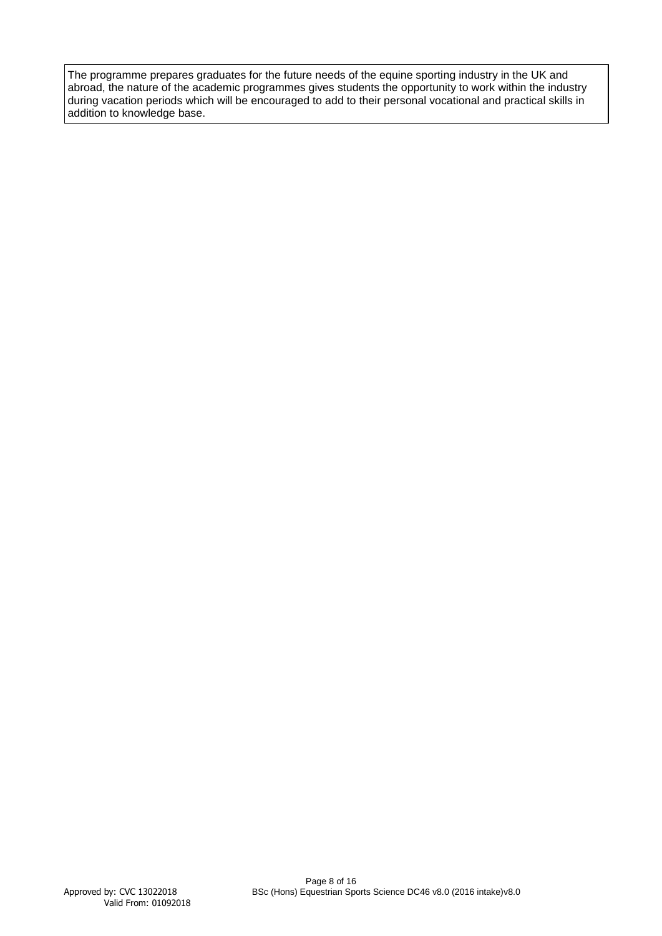The programme prepares graduates for the future needs of the equine sporting industry in the UK and abroad, the nature of the academic programmes gives students the opportunity to work within the industry during vacation periods which will be encouraged to add to their personal vocational and practical skills in addition to knowledge base.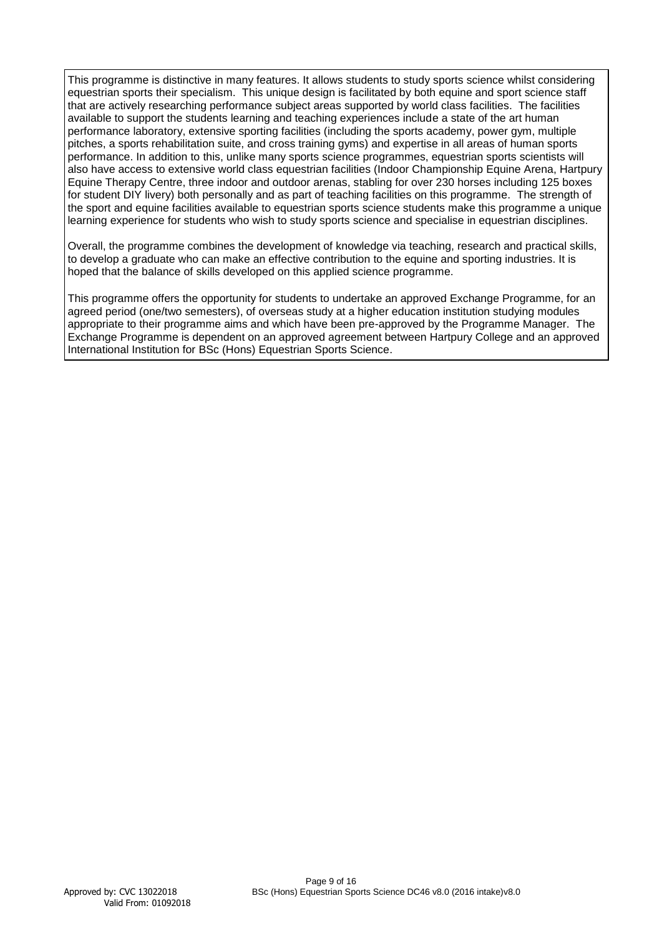This programme is distinctive in many features. It allows students to study sports science whilst considering equestrian sports their specialism. This unique design is facilitated by both equine and sport science staff that are actively researching performance subject areas supported by world class facilities. The facilities available to support the students learning and teaching experiences include a state of the art human performance laboratory, extensive sporting facilities (including the sports academy, power gym, multiple pitches, a sports rehabilitation suite, and cross training gyms) and expertise in all areas of human sports performance. In addition to this, unlike many sports science programmes, equestrian sports scientists will also have access to extensive world class equestrian facilities (Indoor Championship Equine Arena, Hartpury Equine Therapy Centre, three indoor and outdoor arenas, stabling for over 230 horses including 125 boxes for student DIY livery) both personally and as part of teaching facilities on this programme. The strength of the sport and equine facilities available to equestrian sports science students make this programme a unique learning experience for students who wish to study sports science and specialise in equestrian disciplines.

Overall, the programme combines the development of knowledge via teaching, research and practical skills, to develop a graduate who can make an effective contribution to the equine and sporting industries. It is hoped that the balance of skills developed on this applied science programme.

This programme offers the opportunity for students to undertake an approved Exchange Programme, for an agreed period (one/two semesters), of overseas study at a higher education institution studying modules appropriate to their programme aims and which have been pre-approved by the Programme Manager. The Exchange Programme is dependent on an approved agreement between Hartpury College and an approved International Institution for BSc (Hons) Equestrian Sports Science.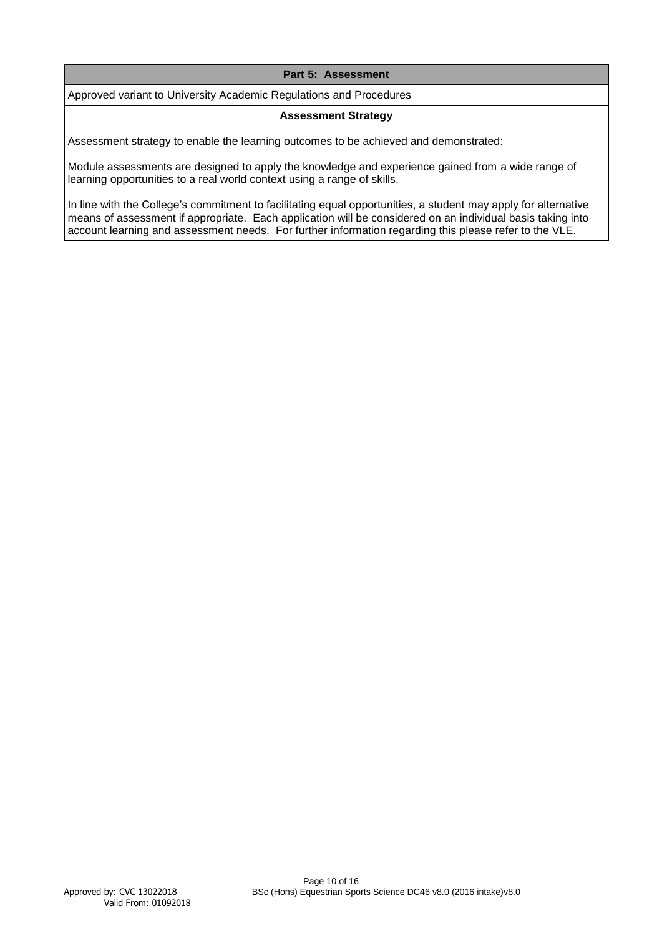# **Part 5: Assessment**

Approved variant to University Academic Regulations and Procedures

#### **Assessment Strategy**

Assessment strategy to enable the learning outcomes to be achieved and demonstrated:

Module assessments are designed to apply the knowledge and experience gained from a wide range of learning opportunities to a real world context using a range of skills.

In line with the College's commitment to facilitating equal opportunities, a student may apply for alternative means of assessment if appropriate. Each application will be considered on an individual basis taking into account learning and assessment needs. For further information regarding this please refer to the VLE.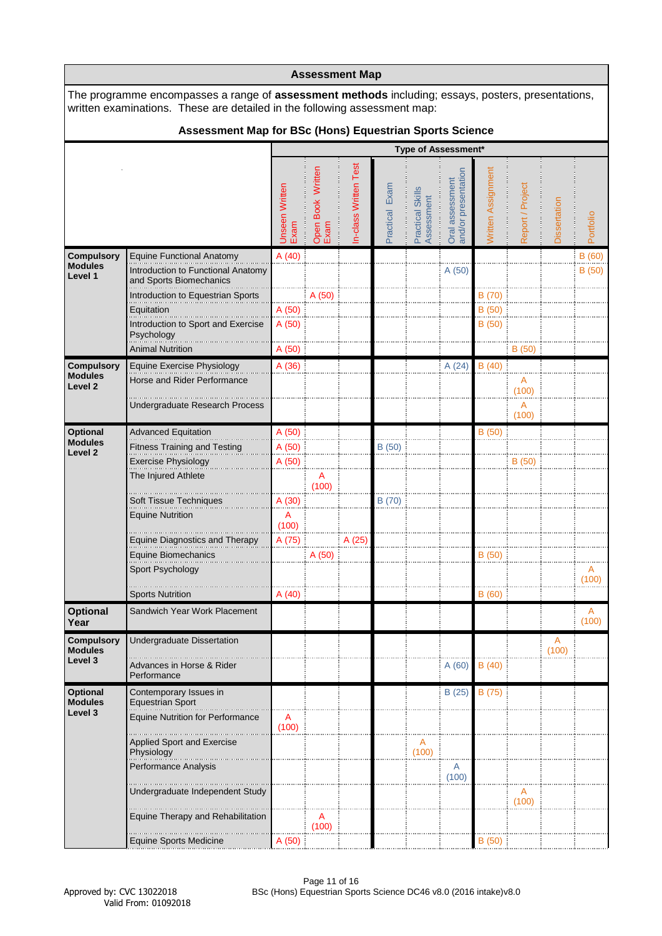|                                      | <b>Assessment Map</b>                                                                                                                                                                                                                             |                        |                           |                      |                |                                |                                        |                    |                  |              |            |  |  |  |
|--------------------------------------|---------------------------------------------------------------------------------------------------------------------------------------------------------------------------------------------------------------------------------------------------|------------------------|---------------------------|----------------------|----------------|--------------------------------|----------------------------------------|--------------------|------------------|--------------|------------|--|--|--|
|                                      | The programme encompasses a range of <b>assessment methods</b> including; essays, posters, presentations,<br>written examinations. These are detailed in the following assessment map:<br>Assessment Map for BSc (Hons) Equestrian Sports Science |                        |                           |                      |                |                                |                                        |                    |                  |              |            |  |  |  |
|                                      |                                                                                                                                                                                                                                                   |                        |                           |                      |                |                                |                                        |                    |                  |              |            |  |  |  |
|                                      |                                                                                                                                                                                                                                                   |                        |                           |                      |                |                                | <b>Type of Assessment*</b>             |                    |                  |              |            |  |  |  |
|                                      |                                                                                                                                                                                                                                                   | Unseen Written<br>Exam | Open Book Written<br>Exam | n-class Written Test | Practical Exam | Practical Skills<br>Assessment | and/or presentation<br>Oral assessment | Written Assignment | Report / Project | Dissertation | Portfolio  |  |  |  |
| <b>Compulsory</b>                    | Equine Functional Anatomy                                                                                                                                                                                                                         | A(40)                  |                           |                      |                |                                |                                        |                    |                  |              | B (60)     |  |  |  |
| <b>Modules</b><br>Level 1            | Introduction to Functional Anatomy<br>and Sports Biomechanics                                                                                                                                                                                     |                        |                           |                      |                |                                | A (50)                                 |                    |                  |              | B(50)      |  |  |  |
|                                      | Introduction to Equestrian Sports                                                                                                                                                                                                                 |                        | A (50)                    |                      |                |                                |                                        | B (70)             |                  |              |            |  |  |  |
|                                      | Equitation                                                                                                                                                                                                                                        | A (50)                 |                           |                      |                |                                |                                        | B(50)              |                  |              |            |  |  |  |
|                                      | Introduction to Sport and Exercise<br>Psychology                                                                                                                                                                                                  | A(50)                  |                           |                      |                |                                |                                        | B(50)              |                  |              |            |  |  |  |
|                                      | <b>Animal Nutrition</b>                                                                                                                                                                                                                           | A (50)                 |                           |                      |                |                                |                                        |                    | B(50)            |              |            |  |  |  |
| <b>Compulsory</b><br><b>Modules</b>  | Equine Exercise Physiology                                                                                                                                                                                                                        | A (36)                 |                           |                      |                |                                | A(24)                                  | B(40)              |                  |              |            |  |  |  |
| Level <sub>2</sub>                   | Horse and Rider Performance                                                                                                                                                                                                                       |                        |                           |                      |                |                                |                                        |                    | A<br>(100)       |              |            |  |  |  |
|                                      | Undergraduate Research Process                                                                                                                                                                                                                    |                        |                           |                      |                |                                |                                        |                    | A<br>(100)       |              |            |  |  |  |
| Optional                             | <b>Advanced Equitation</b>                                                                                                                                                                                                                        | A (50)                 |                           |                      |                |                                |                                        | B(50)              |                  |              |            |  |  |  |
| <b>Modules</b><br>Level <sub>2</sub> | <b>Fitness Training and Testing</b>                                                                                                                                                                                                               | A (50)                 |                           |                      | B(50)          |                                |                                        |                    |                  |              |            |  |  |  |
|                                      | <b>Exercise Physiology</b>                                                                                                                                                                                                                        | A (50)                 |                           |                      |                |                                |                                        |                    | B(50)            |              |            |  |  |  |
|                                      | The Injured Athlete                                                                                                                                                                                                                               |                        | A<br>(100)                |                      |                |                                |                                        |                    |                  |              |            |  |  |  |
|                                      | Soft Tissue Techniques                                                                                                                                                                                                                            | A (30)                 |                           |                      | B (70)         |                                |                                        |                    |                  |              |            |  |  |  |
|                                      | <b>Equine Nutrition</b>                                                                                                                                                                                                                           | A<br>(100)             |                           |                      |                |                                |                                        |                    |                  |              |            |  |  |  |
|                                      | <b>Equine Diagnostics and Therapy</b>                                                                                                                                                                                                             | A (75)                 |                           | A (25)               |                |                                |                                        |                    |                  |              |            |  |  |  |
|                                      | Equine Biomechanics                                                                                                                                                                                                                               |                        | A(50)                     |                      |                |                                |                                        | B(50)              |                  |              |            |  |  |  |
|                                      | Sport Psychology                                                                                                                                                                                                                                  |                        |                           |                      |                |                                |                                        |                    |                  |              | (100)      |  |  |  |
|                                      | <b>Sports Nutrition</b>                                                                                                                                                                                                                           | A(40)                  |                           |                      |                |                                |                                        | B(60)              |                  |              |            |  |  |  |
| <b>Optional</b><br>Year              | Sandwich Year Work Placement                                                                                                                                                                                                                      |                        |                           |                      |                |                                |                                        |                    |                  |              | A<br>(100) |  |  |  |
| <b>Compulsory</b><br><b>Modules</b>  | Undergraduate Dissertation                                                                                                                                                                                                                        |                        |                           |                      |                |                                |                                        |                    |                  | A<br>(100)   |            |  |  |  |
| Level 3                              | Advances in Horse & Rider<br>Performance                                                                                                                                                                                                          |                        |                           |                      |                |                                | A(60)                                  | B(40)              |                  |              |            |  |  |  |
| Optional<br><b>Modules</b>           | Contemporary Issues in<br><b>Equestrian Sport</b>                                                                                                                                                                                                 |                        |                           |                      |                |                                | B(25)                                  | B (75)             |                  |              |            |  |  |  |
| Level 3                              | <b>Equine Nutrition for Performance</b>                                                                                                                                                                                                           | A<br>(100)             |                           |                      |                |                                |                                        |                    |                  |              |            |  |  |  |
|                                      | <b>Applied Sport and Exercise</b><br>Physiology                                                                                                                                                                                                   |                        |                           |                      |                | A<br>(100)                     |                                        |                    |                  |              |            |  |  |  |
|                                      | Performance Analysis                                                                                                                                                                                                                              |                        |                           |                      |                |                                | $\overline{A}$<br>(100)                |                    |                  |              |            |  |  |  |
|                                      | Undergraduate Independent Study                                                                                                                                                                                                                   |                        |                           |                      |                |                                |                                        |                    | A<br>(100)       |              |            |  |  |  |
|                                      | Equine Therapy and Rehabilitation                                                                                                                                                                                                                 |                        | A<br>(100)                |                      |                |                                |                                        |                    |                  |              |            |  |  |  |
|                                      | <b>Equine Sports Medicine</b>                                                                                                                                                                                                                     | A(50)                  |                           |                      |                |                                |                                        | B (50)             |                  |              |            |  |  |  |

٦

л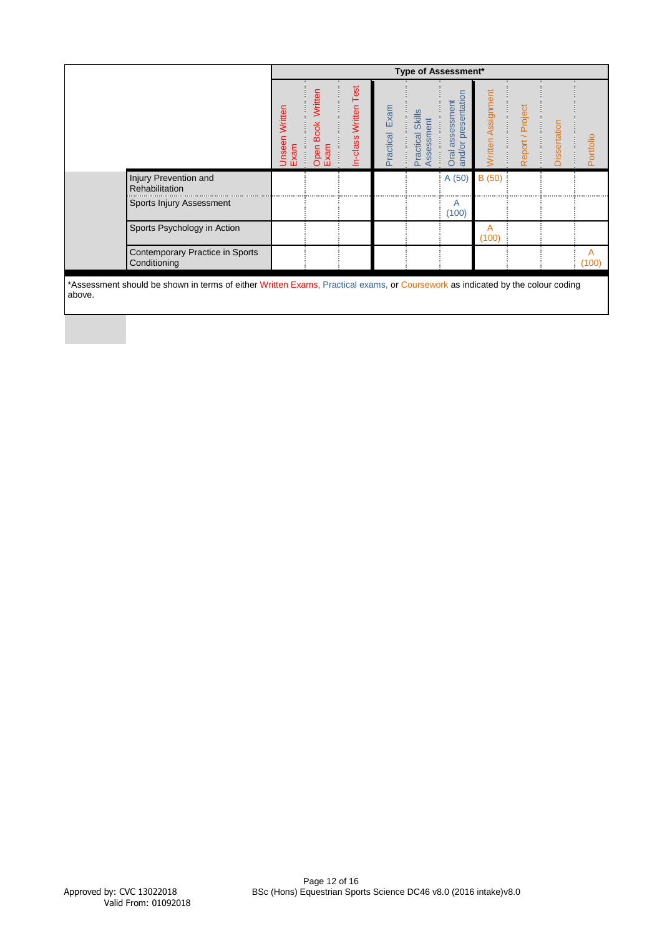|                                                                                                                                          |                        |                                        |                          |                   |                                              | <b>Type of Assessment*</b>                |                    |                  |              |            |
|------------------------------------------------------------------------------------------------------------------------------------------|------------------------|----------------------------------------|--------------------------|-------------------|----------------------------------------------|-------------------------------------------|--------------------|------------------|--------------|------------|
|                                                                                                                                          | Unseen Written<br>Exam | Written<br><b>Book</b><br>Open<br>Exam | Test<br>In-class Written | Exam<br>Practical | <b>Skills</b><br>ssessment<br>Practical<br>✓ | and/or presentation<br>assessment<br>Oral | Written Assignment | Report / Project | Dissertation | Portfolio  |
| Injury Prevention and<br>Rehabilitation                                                                                                  |                        |                                        |                          |                   |                                              | A(50)                                     | B (50)             |                  |              |            |
| Sports Injury Assessment                                                                                                                 |                        |                                        |                          |                   |                                              | A<br>(100)                                |                    |                  |              |            |
| Sports Psychology in Action                                                                                                              |                        |                                        |                          |                   |                                              |                                           | A<br>(100)         |                  |              |            |
| Contemporary Practice in Sports<br>Conditioning                                                                                          |                        |                                        |                          |                   |                                              |                                           |                    |                  |              | A<br>(100) |
| *Assessment should be shown in terms of either Written Exams, Practical exams, or Coursework as indicated by the colour coding<br>above. |                        |                                        |                          |                   |                                              |                                           |                    |                  |              |            |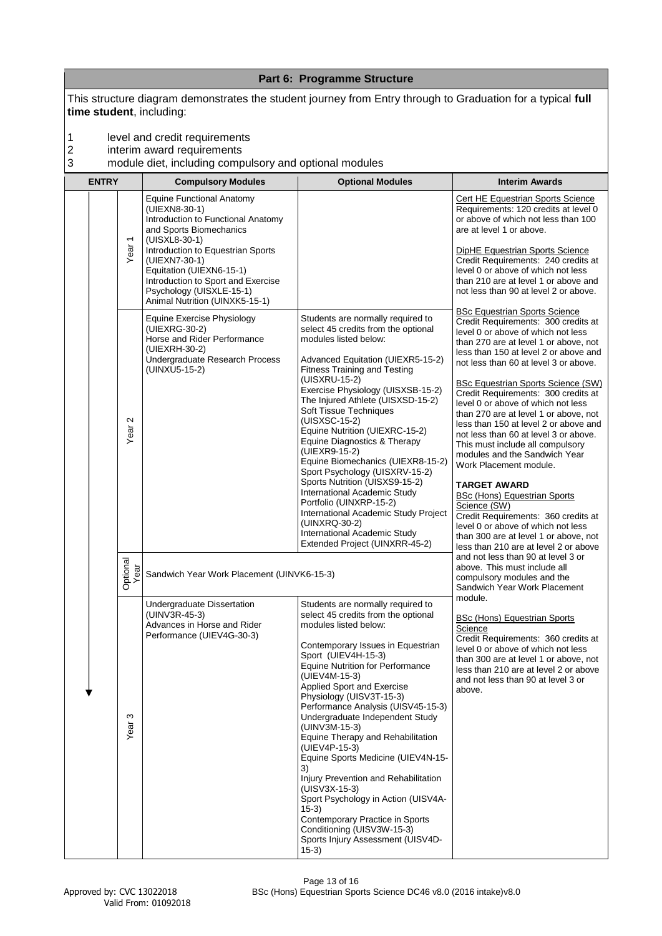|                                   |              |                                             |                                                                                                                                                                                                                                                                                                                           | Part 6: Programme Structure                                                                                                                                                                                                                                                                                                                                                                                                                                                                                                                                                                                                                                                                                   |                                                                                                                                                                                                                                                                                                                                                                                                                                                                                                                                                                                                                                                                                                                                                                                                                                               |
|-----------------------------------|--------------|---------------------------------------------|---------------------------------------------------------------------------------------------------------------------------------------------------------------------------------------------------------------------------------------------------------------------------------------------------------------------------|---------------------------------------------------------------------------------------------------------------------------------------------------------------------------------------------------------------------------------------------------------------------------------------------------------------------------------------------------------------------------------------------------------------------------------------------------------------------------------------------------------------------------------------------------------------------------------------------------------------------------------------------------------------------------------------------------------------|-----------------------------------------------------------------------------------------------------------------------------------------------------------------------------------------------------------------------------------------------------------------------------------------------------------------------------------------------------------------------------------------------------------------------------------------------------------------------------------------------------------------------------------------------------------------------------------------------------------------------------------------------------------------------------------------------------------------------------------------------------------------------------------------------------------------------------------------------|
|                                   |              |                                             | time student, including:                                                                                                                                                                                                                                                                                                  | This structure diagram demonstrates the student journey from Entry through to Graduation for a typical full                                                                                                                                                                                                                                                                                                                                                                                                                                                                                                                                                                                                   |                                                                                                                                                                                                                                                                                                                                                                                                                                                                                                                                                                                                                                                                                                                                                                                                                                               |
| 1<br>$\overline{\mathbf{c}}$<br>3 |              |                                             | level and credit requirements<br>interim award requirements<br>module diet, including compulsory and optional modules                                                                                                                                                                                                     |                                                                                                                                                                                                                                                                                                                                                                                                                                                                                                                                                                                                                                                                                                               |                                                                                                                                                                                                                                                                                                                                                                                                                                                                                                                                                                                                                                                                                                                                                                                                                                               |
|                                   | <b>ENTRY</b> |                                             | <b>Compulsory Modules</b>                                                                                                                                                                                                                                                                                                 | <b>Optional Modules</b>                                                                                                                                                                                                                                                                                                                                                                                                                                                                                                                                                                                                                                                                                       | <b>Interim Awards</b>                                                                                                                                                                                                                                                                                                                                                                                                                                                                                                                                                                                                                                                                                                                                                                                                                         |
|                                   |              | Year <sub>1</sub>                           | <b>Equine Functional Anatomy</b><br>(UIEXN8-30-1)<br>Introduction to Functional Anatomy<br>and Sports Biomechanics<br>(UISXL8-30-1)<br>Introduction to Equestrian Sports<br>(UIEXN7-30-1)<br>Equitation (UIEXN6-15-1)<br>Introduction to Sport and Exercise<br>Psychology (UISXLE-15-1)<br>Animal Nutrition (UINXK5-15-1) |                                                                                                                                                                                                                                                                                                                                                                                                                                                                                                                                                                                                                                                                                                               | Cert HE Equestrian Sports Science<br>Requirements: 120 credits at level 0<br>or above of which not less than 100<br>are at level 1 or above.<br>DipHE Equestrian Sports Science<br>Credit Requirements: 240 credits at<br>level 0 or above of which not less<br>than 210 are at level 1 or above and<br>not less than 90 at level 2 or above.                                                                                                                                                                                                                                                                                                                                                                                                                                                                                                 |
|                                   |              | $\mathbf{\Omega}$<br>Year:                  | Equine Exercise Physiology<br>(UIEXRG-30-2)<br>Horse and Rider Performance<br>(UIEXRH-30-2)<br>Undergraduate Research Process<br>(UINXU5-15-2)                                                                                                                                                                            | Students are normally required to<br>select 45 credits from the optional<br>modules listed below:<br>Advanced Equitation (UIEXR5-15-2)<br><b>Fitness Training and Testing</b><br>(UISXRU-15-2)<br>Exercise Physiology (UISXSB-15-2)<br>The Injured Athlete (UISXSD-15-2)<br>Soft Tissue Techniques<br>(UISXSC-15-2)<br>Equine Nutrition (UIEXRC-15-2)<br>Equine Diagnostics & Therapy<br>(UIEXR9-15-2)<br>Equine Biomechanics (UIEXR8-15-2)<br>Sport Psychology (UISXRV-15-2)<br>Sports Nutrition (UISXS9-15-2)<br>International Academic Study<br>Portfolio (UINXRP-15-2)<br>International Academic Study Project<br>(UINXRQ-30-2)<br>International Academic Study<br>Extended Project (UINXRR-45-2)         | <b>BSc Equestrian Sports Science</b><br>Credit Requirements: 300 credits at<br>level 0 or above of which not less<br>than 270 are at level 1 or above, not<br>less than 150 at level 2 or above and<br>not less than 60 at level 3 or above.<br><b>BSc Equestrian Sports Science (SW)</b><br>Credit Requirements: 300 credits at<br>level 0 or above of which not less<br>than 270 are at level 1 or above, not<br>less than 150 at level 2 or above and<br>not less than 60 at level 3 or above.<br>This must include all compulsory<br>modules and the Sandwich Year<br>Work Placement module.<br><b>TARGET AWARD</b><br><b>BSc (Hons) Equestrian Sports</b><br>Science (SW)<br>Credit Requirements: 360 credits at<br>level 0 or above of which not less<br>than 300 are at level 1 or above, not<br>less than 210 are at level 2 or above |
|                                   |              | onal<br>$\overline{\sigma}$<br>Optic<br>Yex | Sandwich Year Work Placement (UINVK6-15-3)                                                                                                                                                                                                                                                                                |                                                                                                                                                                                                                                                                                                                                                                                                                                                                                                                                                                                                                                                                                                               | and not less than 90 at level 3 or<br>above. This must include all<br>compulsory modules and the<br>Sandwich Year Work Placement                                                                                                                                                                                                                                                                                                                                                                                                                                                                                                                                                                                                                                                                                                              |
|                                   |              | ო<br>Year <sup>-</sup>                      | Undergraduate Dissertation<br>(UINV3R-45-3)<br>Advances in Horse and Rider<br>Performance (UIEV4G-30-3)                                                                                                                                                                                                                   | Students are normally required to<br>select 45 credits from the optional<br>modules listed below:<br>Contemporary Issues in Equestrian<br>Sport (UIEV4H-15-3)<br><b>Equine Nutrition for Performance</b><br>(UIEV4M-15-3)<br>Applied Sport and Exercise<br>Physiology (UISV3T-15-3)<br>Performance Analysis (UISV45-15-3)<br>Undergraduate Independent Study<br>(UINV3M-15-3)<br>Equine Therapy and Rehabilitation<br>(UIEV4P-15-3)<br>Equine Sports Medicine (UIEV4N-15-<br>3)<br>Injury Prevention and Rehabilitation<br>(UISV3X-15-3)<br>Sport Psychology in Action (UISV4A-<br>$(15-3)$<br>Contemporary Practice in Sports<br>Conditioning (UISV3W-15-3)<br>Sports Injury Assessment (UISV4D-<br>$(15-3)$ | module.<br><b>BSc (Hons) Equestrian Sports</b><br>Science<br>Credit Requirements: 360 credits at<br>level 0 or above of which not less<br>than 300 are at level 1 or above, not<br>less than 210 are at level 2 or above<br>and not less than 90 at level 3 or<br>above.                                                                                                                                                                                                                                                                                                                                                                                                                                                                                                                                                                      |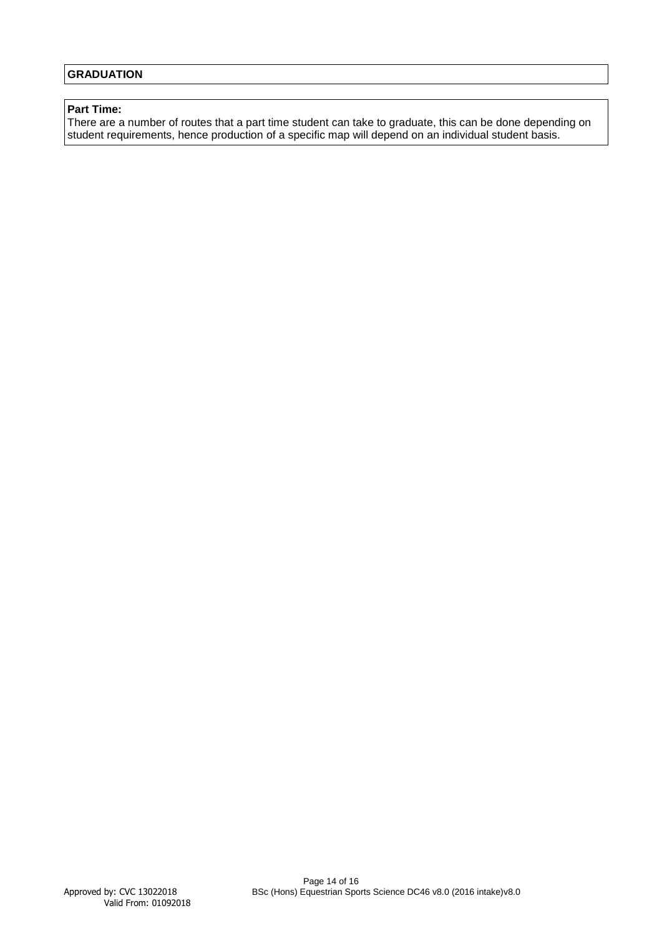# **GRADUATION**

#### **Part Time:**

There are a number of routes that a part time student can take to graduate, this can be done depending on student requirements, hence production of a specific map will depend on an individual student basis.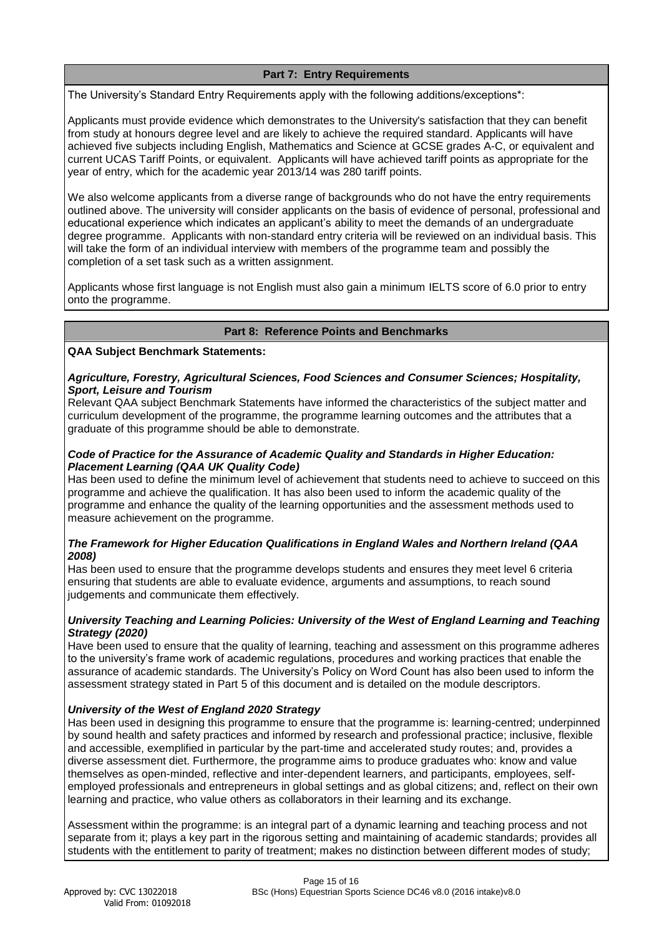# **Part 7: Entry Requirements**

The University's Standard Entry Requirements apply with the following additions/exceptions\*:

Applicants must provide evidence which demonstrates to the University's satisfaction that they can benefit from study at honours degree level and are likely to achieve the required standard. Applicants will have achieved five subjects including English, Mathematics and Science at GCSE grades A-C, or equivalent and current UCAS Tariff Points, or equivalent. Applicants will have achieved tariff points as appropriate for the year of entry, which for the academic year 2013/14 was 280 tariff points.

We also welcome applicants from a diverse range of backgrounds who do not have the entry requirements outlined above. The university will consider applicants on the basis of evidence of personal, professional and educational experience which indicates an applicant's ability to meet the demands of an undergraduate degree programme. Applicants with non-standard entry criteria will be reviewed on an individual basis. This will take the form of an individual interview with members of the programme team and possibly the completion of a set task such as a written assignment.

Applicants whose first language is not English must also gain a minimum IELTS score of 6.0 prior to entry onto the programme.

#### **Part 8: Reference Points and Benchmarks**

#### **QAA Subject Benchmark Statements:**

#### *Agriculture, Forestry, Agricultural Sciences, Food Sciences and Consumer Sciences; Hospitality, Sport, Leisure and Tourism*

Relevant QAA subject Benchmark Statements have informed the characteristics of the subject matter and curriculum development of the programme, the programme learning outcomes and the attributes that a graduate of this programme should be able to demonstrate.

#### *Code of Practice for the Assurance of Academic Quality and Standards in Higher Education: Placement Learning (QAA UK Quality Code)*

Has been used to define the minimum level of achievement that students need to achieve to succeed on this programme and achieve the qualification. It has also been used to inform the academic quality of the programme and enhance the quality of the learning opportunities and the assessment methods used to measure achievement on the programme.

# *The Framework for Higher Education Qualifications in England Wales and Northern Ireland (QAA 2008)*

Has been used to ensure that the programme develops students and ensures they meet level 6 criteria ensuring that students are able to evaluate evidence, arguments and assumptions, to reach sound judgements and communicate them effectively.

# *University Teaching and Learning Policies: University of the West of England Learning and Teaching Strategy (2020)*

Have been used to ensure that the quality of learning, teaching and assessment on this programme adheres to the university's frame work of academic regulations, procedures and working practices that enable the assurance of academic standards. The University's Policy on Word Count has also been used to inform the assessment strategy stated in Part 5 of this document and is detailed on the module descriptors.

# *University of the West of England 2020 Strategy*

Has been used in designing this programme to ensure that the programme is: learning-centred; underpinned by sound health and safety practices and informed by research and professional practice; inclusive, flexible and accessible, exemplified in particular by the part-time and accelerated study routes; and, provides a diverse assessment diet. Furthermore, the programme aims to produce graduates who: know and value themselves as open-minded, reflective and inter-dependent learners, and participants, employees, selfemployed professionals and entrepreneurs in global settings and as global citizens; and, reflect on their own learning and practice, who value others as collaborators in their learning and its exchange.

Assessment within the programme: is an integral part of a dynamic learning and teaching process and not separate from it; plays a key part in the rigorous setting and maintaining of academic standards; provides all students with the entitlement to parity of treatment; makes no distinction between different modes of study;